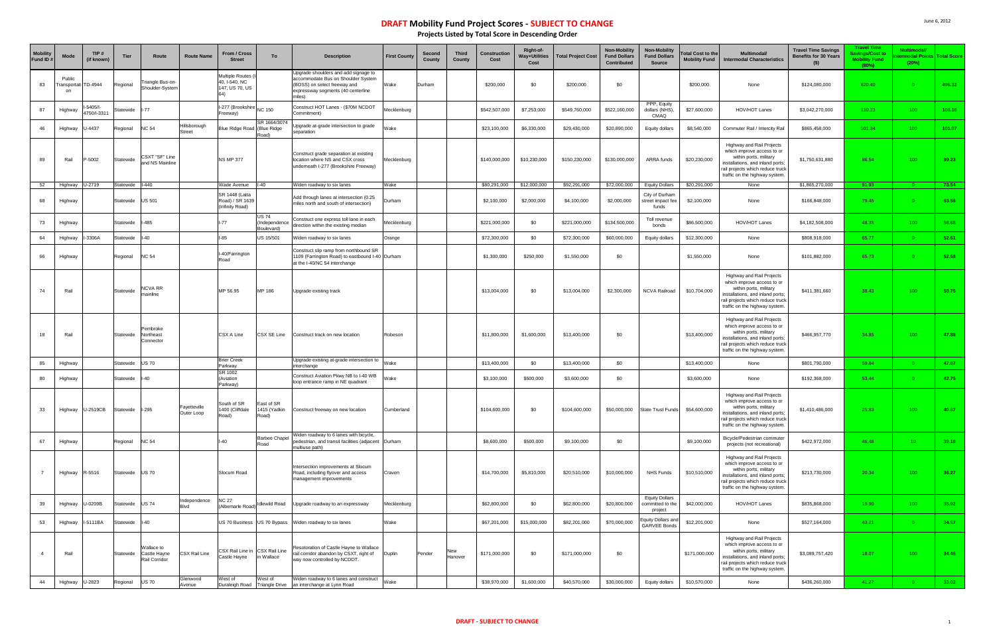| <b>Mobility</b><br>Fund ID# | <b>Mode</b>                         | TIP#<br>(if known)     | Tier            | Route                                       | <b>Route Name</b>           | From / Cross<br><b>Street</b>                               | To                                         | <b>Description</b>                                                                                                                                         | <b>First County</b> | Second<br>County | <b>Third</b><br>County | Construction<br>Cost | Right-of-<br>Way+Utilities<br>Cost | <b>Total Project Cost</b> | Non-Mobility<br><b>Fund Dollars</b><br>Contributed | <b>Non-Mobility</b><br><b>Fund Dollars</b><br><b>Source</b> | otal Cost to the<br><b>Mobility Fund</b> | <b>Multimodal/</b><br><b>Intermodal Characteristics</b>                                                                                                                                     | <b>Travel Time Savings</b><br><b>Benefits for 30 Years</b><br>$($ \$) | <b>Travel Time</b><br>avings/Cost to<br><b>Mobility Fund</b><br>(80%) | Multimodal<br><b>rmodal Points Total Score</b><br>(20%) |        |
|-----------------------------|-------------------------------------|------------------------|-----------------|---------------------------------------------|-----------------------------|-------------------------------------------------------------|--------------------------------------------|------------------------------------------------------------------------------------------------------------------------------------------------------------|---------------------|------------------|------------------------|----------------------|------------------------------------|---------------------------|----------------------------------------------------|-------------------------------------------------------------|------------------------------------------|---------------------------------------------------------------------------------------------------------------------------------------------------------------------------------------------|-----------------------------------------------------------------------|-----------------------------------------------------------------------|---------------------------------------------------------|--------|
| 83                          | Public<br>ransportati TD-4944<br>on |                        | Regional        | Triangle Bus-on-<br>Shoulder-System         |                             | Multiple Routes<br>40, I-540, NC<br>147, US 70, US          |                                            | Upgrade shoulders and add signage to<br>accommodate Bus on Shoulder System<br>(BOSS) on select freeway and<br>expressway segments (40 centerline<br>niles) | Wake                | Durham           |                        | \$200,000            | \$0                                | \$200,000                 | \$0                                                |                                                             | \$200,000                                | None                                                                                                                                                                                        | \$124,080,000                                                         | 620.40                                                                | 0.                                                      | 496.32 |
| 87                          | Highway                             | 5405/I-<br>1750/I-3311 | Statewide       | $I-77$                                      |                             | II-277 (Brookshire NC 150<br>Freeway)                       |                                            | Construct HOT Lanes - (\$70M NCDOT<br>Commitment)                                                                                                          | Mecklenburg         |                  |                        | \$542,507,000        | \$7,253,000                        | \$549,760,000             | \$522,160,000                                      | PPP, Equity<br>dollars (NHS),<br>CMAQ                       | \$27,600,000                             | HOV/HOT Lanes                                                                                                                                                                               | \$3,042,270,000                                                       | 110.23                                                                | 100 <sub>1</sub>                                        | 108.18 |
| 46                          | Highway                             | J-4437                 | Regional        | <b>NC 54</b>                                | Hillsborough<br>Street      | Blue Ridge Road (Blue Ridge                                 | SR 1664/3074<br>Road)                      | lpgrade at-grade intersection to grade<br>eparation                                                                                                        | Wake                |                  |                        | \$23,100,000         | \$6,330,000                        | \$29,430,000              | \$20,890,000                                       | Equity dollars                                              | \$8,540,000                              | Commuter Rail / Intercity Rail                                                                                                                                                              | \$865,458,000                                                         | 101.34                                                                | 100 <sub>1</sub>                                        | 101.07 |
| 89                          | Rail                                | -5002                  | Statewide       | CSXT "SF" Line<br>and NS Mainline           |                             | <b>NS MP 377</b>                                            |                                            | Construct grade separation at existing<br>location where NS and CSX cross<br>underneath I-277 (Brookshire Freeway)                                         | Mecklenburg         |                  |                        | \$140,000,000        | \$10,230,000                       | \$150,230,000             | \$130,000,000                                      | ARRA funds                                                  | \$20,230,000                             | Highway and Rail Projects<br>which improve access to or<br>within ports, military<br>installations, and inland ports;<br>rail projects which reduce truck<br>traffic on the highway system. | \$1,750,631,880                                                       | 86.54                                                                 | 100 <sub>1</sub>                                        | 89.23  |
| 52                          | Highway                             | U-2719                 | Statewide       | $I - 440$                                   |                             | Wade Avenue                                                 | $-40$                                      | Widen roadway to six lanes                                                                                                                                 | Wake                |                  |                        | \$80,291,000         | \$12,000,000                       | \$92,291,000              | \$72,000,000                                       | <b>Equity Dollars</b>                                       | \$20,291,000                             | None                                                                                                                                                                                        | \$1,865,270,000                                                       | 91.93                                                                 |                                                         | 73.54  |
| 68                          | Highway                             |                        | Statewide       | <b>US 501</b>                               |                             | <b>SR 1448 (Latta</b><br>Road) / SR 1639<br>(Infinity Road) |                                            | Add through lanes at intersection (0.25<br>miles north and south of intersection)                                                                          | Durham              |                  |                        | \$2,100,000          | \$2,000,000                        | \$4,100,000               | \$2,000,000                                        | City of Durham<br>street impact fee<br>funds                | \$2,100,000                              | None                                                                                                                                                                                        | \$166,848,000                                                         | 79.45                                                                 |                                                         | 63.56  |
| 73                          | Highway                             |                        | Statewide       | l-485                                       |                             | l-77                                                        | <b>US 74</b><br>Independence<br>Boulevard) | Construct one express toll lane in each<br>direction within the existing median                                                                            | Mecklenburg         |                  |                        | \$221,000,000        | \$0                                | \$221,000,000             | \$134,500,000                                      | Toll revenue<br>bonds                                       | \$86,500,000                             | HOV/HOT Lanes                                                                                                                                                                               | \$4,182,508,000                                                       | 48.35                                                                 | 100 <sub>1</sub>                                        | 58.68  |
| 64                          | Highway                             | -3306A                 | Statewide       | l-40                                        |                             | -85                                                         | JS 15/501                                  | Viden roadway to six lanes                                                                                                                                 | Orange              |                  |                        | \$72,300,000         | \$0                                | \$72,300,000              | \$60,000,000                                       | Equity dollars                                              | \$12,300,000                             | None                                                                                                                                                                                        | \$808,918,000                                                         | 65.77                                                                 | $\overline{0}$                                          | 52.61  |
| 66                          | Highway                             |                        | Regional        | <b>NC 54</b>                                |                             | -40/Farrington<br>Road                                      |                                            | Construct slip ramp from northbound SR<br>1109 (Farrington Road) to eastbound I-40 Durham<br>at the I-40/NC 54 interchange                                 |                     |                  |                        | \$1,300,000          | \$250,000                          | \$1,550,000               | \$0                                                |                                                             | \$1,550,000                              | None                                                                                                                                                                                        | \$101,882,000                                                         | 65.73                                                                 |                                                         | 52.58  |
| 74                          | Rail                                |                        | Statewide       | NCVA RR<br>nainline                         |                             | MP 56.95                                                    | MP 186                                     | Upgrade existing track                                                                                                                                     |                     |                  |                        | \$13,004,000         | \$0                                | \$13,004,000              | \$2,300,000                                        | NCVA Railroad                                               | \$10,704,000                             | Highway and Rail Projects<br>which improve access to or<br>within ports, military<br>installations, and inland ports;<br>rail projects which reduce truck<br>traffic on the highway system. | \$411,381,660                                                         | 38.43                                                                 | 100 <sub>1</sub>                                        | 50.75  |
| 18                          | Rail                                |                        | Statewide       | Pembroke<br>Northeast<br>Connector          |                             | CSX A Line                                                  | CSX SE Line                                | Construct track on new location                                                                                                                            | Robeson             |                  |                        | \$11,800,000         | \$1,600,000                        | \$13,400,000              | \$0                                                |                                                             | \$13,400,000                             | Highway and Rail Projects<br>which improve access to or<br>within ports, military<br>installations, and inland ports;<br>rail projects which reduce truck<br>traffic on the highway system. | \$466,957,770                                                         | 34.85                                                                 | 100 <sub>1</sub>                                        | 47.88  |
| 85                          | Highway                             |                        | Statewide       | <b>US70</b>                                 |                             | <b>Brier Creek</b><br>Parkway                               |                                            | Upgrade existing at-grade intersection to<br>interchange                                                                                                   | Wake                |                  |                        | \$13,400,000         | \$0                                | \$13,400,000              | \$0                                                |                                                             | \$13,400,000                             | None                                                                                                                                                                                        | \$801,790,000                                                         | 59.84                                                                 | $\Omega$                                                | 47.87  |
| 80                          | Highway                             |                        | Statewide       | I-40                                        |                             | SR 1002<br>(Aviation<br>Parkway)                            |                                            | Construct Aviation Pkwy NB to I-40 WB<br>loop entrance ramp in NE quadrant                                                                                 | Wake                |                  |                        | \$3,100,000          | \$500,000                          | \$3,600,000               | \$0                                                |                                                             | \$3,600,000                              | None                                                                                                                                                                                        | \$192,368,000                                                         | 53.44                                                                 | $\Omega$                                                | 42.75  |
| 33                          |                                     | Highway U-2519CB       | Statewide I-295 |                                             | Fayetteville<br>Outer Loop  | South of SR<br>1400 (Cliffdale<br>Road)                     | East of SR<br>1415 (Yadkin<br>Road)        | Construct freeway on new location                                                                                                                          | Cumberland          |                  |                        | \$104,600,000        | \$0                                | \$104,600,000             |                                                    | \$50,000,000 State Trust Funds                              | \$54,600,000                             | Highway and Rail Projects<br>which improve access to or<br>within ports, military<br>installations, and inland ports;<br>rail projects which reduce truck<br>traffic on the highway system. | \$1,410,486,000                                                       | 25.83                                                                 | 100 <sub>1</sub>                                        | 40.67  |
| 67                          | Highway                             |                        | Regional        | <b>NC 54</b>                                |                             | $-40$                                                       | Barbee Chapel<br>Road                      | Niden roadway to 6 lanes with bicycle,<br>bedestrian, and transit facilities (adjacent Durham<br>multiuse path)                                            |                     |                  |                        | \$8,600,000          | \$500,000                          | \$9,100,000               | \$0                                                |                                                             | \$9,100,000                              | Bicycle/Pedestrian commuter<br>projects (not recreational)                                                                                                                                  | \$422,972,000                                                         | 46.48                                                                 | 10 <sup>2</sup>                                         | 39.18  |
| $\overline{7}$              | Highway                             | R-5516                 | Statewide US 70 |                                             |                             | Slocum Road                                                 |                                            | ntersection improvements at Slocum<br>Road, including flyover and access<br>management improvements                                                        | Craven              |                  |                        | \$14,700,000         | \$5,810,000                        | \$20,510,000              | \$10,000,000                                       | NHS Funds                                                   | \$10,510,000                             | Highway and Rail Projects<br>which improve access to or<br>within ports, military<br>installations, and inland ports;<br>rail projects which reduce truck<br>traffic on the highway system. | \$213,730,000                                                         | 20.34                                                                 | 100 <sub>1</sub>                                        | 36.27  |
| 39                          | Highway                             | U-0209B                | Statewide       | <b>US74</b>                                 | Independence<br><b>Blvd</b> | <b>NC 27</b><br>(Albemarle Road)                            | Idlewild Road                              | Upgrade roadway to an expressway                                                                                                                           | Mecklenburg         |                  |                        | \$62,800,000         | \$0                                | \$62,800,000              | \$20,800,000                                       | <b>Equity Dollars</b><br>committed to the<br>project        | \$42,000,000                             | HOV/HOT Lanes                                                                                                                                                                               | \$835,868,000                                                         | 19.90                                                                 | 100                                                     | 35.92  |
| 53                          | Highway                             | I-5111BA               | Statewide       | $I - 40$                                    |                             |                                                             |                                            | US 70 Business US 70 Bypass Widen roadway to six lanes                                                                                                     | Wake                |                  |                        | \$67,201,000         | \$15,000,000                       | \$82,201,000              | \$70,000,000                                       | Equity Dollars and<br><b>GARVEE Bonds</b>                   | \$12,201,000                             | None                                                                                                                                                                                        | \$527,164,000                                                         | 43.21                                                                 | $\Omega$                                                | 34.57  |
| $\overline{4}$              | Rail                                |                        | Statewide       | Wallace to<br>Castle Hayne<br>Rail Corridor | <b>CSX Rail Line</b>        | CSX Rail Line in CSX Rail Line<br>Castle Hayne              | in Wallace                                 | Resotoration of Castle Hayne to Wallace<br>rail corridor abandon by CSXT, right of<br>way now controlled by NCDOT.                                         | Duplin              | Pender           | New<br>Hanover         | \$171,000,000        | \$0                                | \$171,000,000             | \$0                                                |                                                             | \$171,000,000                            | Highway and Rail Projects<br>which improve access to or<br>within ports, military<br>installations, and inland ports;<br>rail projects which reduce truck<br>traffic on the highway system. | \$3,089,757,420                                                       | 18.07                                                                 | 100 <sub>1</sub>                                        | 34.46  |
| 44                          | Highway                             | U-2823                 | Regional        | <b>US 70</b>                                | Glenwood<br>Avenue          | West of<br>Duraleigh Road                                   | West of                                    | Niden roadway to 6 lanes and construct<br>Triangle Drive an interchange at Lynn Road                                                                       | Wake                |                  |                        | \$38,970,000         | \$1,600,000                        | \$40,570,000              | \$30,000,000                                       | Equity dollars                                              | \$10,570,000                             | None                                                                                                                                                                                        | \$436,260,000                                                         | 41.27                                                                 | $\overline{0}$                                          | 33.02  |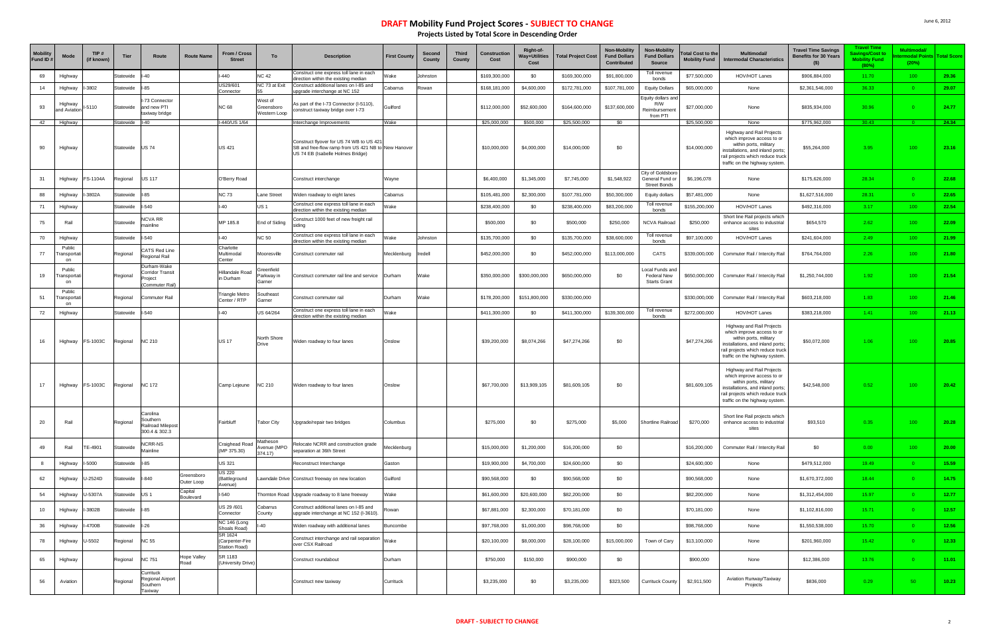| <b>Mobility</b><br>Fund ID# | Mode                       | TIP#<br>(if known) | <b>Tier</b> | Route                                                                | <b>Route Name</b>        | <b>From / Cross</b><br>Street               | To                                    | <b>Description</b>                                                                                                                  | <b>First County</b> | Second<br><b>County</b> | <b>Third</b><br>County | <b>Construction</b><br>Cost | Right-of-<br><b>Way+Utilities</b><br>Cost | <b>Total Project Cost</b> | Non-Mobility<br><b>Fund Dollars</b><br><b>Contributed</b> | Non-Mobility<br><b>Fund Dollars</b><br>Source               | otal Cost to the<br><b>Mobility Fund</b> | Multimodal/<br><b>Intermodal Characteristics</b>                                                                                                                                            | <b>Travel Time Savings</b><br><b>Benefits for 30 Years</b><br>$($ \$) | <b>Travel Time</b><br>avings/Cost to<br><b>Mobility Fund</b><br>(80%) | Multimodal/<br>rmodal Points Total Score<br>(20%) |       |
|-----------------------------|----------------------------|--------------------|-------------|----------------------------------------------------------------------|--------------------------|---------------------------------------------|---------------------------------------|-------------------------------------------------------------------------------------------------------------------------------------|---------------------|-------------------------|------------------------|-----------------------------|-------------------------------------------|---------------------------|-----------------------------------------------------------|-------------------------------------------------------------|------------------------------------------|---------------------------------------------------------------------------------------------------------------------------------------------------------------------------------------------|-----------------------------------------------------------------------|-----------------------------------------------------------------------|---------------------------------------------------|-------|
| 69                          | Highway                    |                    | Statewide   |                                                                      |                          | $-440$                                      | <b>NC 42</b>                          | Construct one express toll lane in each<br>direction within the existing median                                                     | Vake                | Johnston                |                        | \$169,300,000               | \$0                                       | \$169,300,000             | \$91,800,000                                              | Toll revenue<br>bonds                                       | \$77,500,000                             | HOV/HOT Lanes                                                                                                                                                                               | \$906,884,000                                                         | 11.70                                                                 | 100 <sub>1</sub>                                  | 29.36 |
| 14                          | Highway                    | 3802               | Statewide   | $1 - 85$                                                             |                          | US29/601<br>Connector                       | NC 73 at Exit                         | Construct additional lanes on I-85 and<br>upgrade interchange at NC 152                                                             | Cabarrus            | Rowan                   |                        | \$168,181,000               | \$4,600,000                               | \$172,781,000             | \$107,781,000                                             | <b>Equity Dollars</b>                                       | \$65,000,000                             | None                                                                                                                                                                                        | \$2,361,546,000                                                       | 36.33                                                                 |                                                   | 29.07 |
| 93                          | Highway<br>and Aviatior    | 5110               | Statewide   | I-73 Connector<br>and new PTI<br>taxiway bridge                      |                          | <b>NC 68</b>                                | West of<br>Greensboro<br>Western Loop | As part of the I-73 Connector (I-5110),<br>construct taxiway bridge over I-73                                                       | Guilford            |                         |                        | \$112,000,000               | \$52,600,000                              | \$164,600,000             | \$137,600,000                                             | Equity dollars and<br>R/W<br>Reimbursement<br>from PTI      | \$27,000,000                             | None                                                                                                                                                                                        | \$835,934,000                                                         | 30.96                                                                 |                                                   | 24.77 |
| 42                          | Highway                    |                    | Statewide   | $I-40$                                                               |                          | I-440/US 1/64                               |                                       | Interchange Improvements                                                                                                            | Wake                |                         |                        | \$25,000,000                | \$500,000                                 | \$25,500,000              | \$0                                                       |                                                             | \$25,500,000                             | None                                                                                                                                                                                        | \$775,962,000                                                         | 30.43                                                                 |                                                   | 24.34 |
| 90                          | Highway                    |                    | Statewide   | <b>US74</b>                                                          |                          | <b>US 421</b>                               |                                       | Construct flyover for US 74 WB to US 42<br>SB and free-flow ramp from US 421 NB to New Hanover<br>US 74 EB (Isabelle Holmes Bridge) |                     |                         |                        | \$10,000,000                | \$4,000,000                               | \$14,000,000              | \$0                                                       |                                                             | \$14,000,000                             | Highway and Rail Projects<br>which improve access to or<br>within ports, military<br>installations, and inland ports;<br>rail projects which reduce truck<br>traffic on the highway system. | \$55,264,000                                                          | 3.95                                                                  | 100                                               | 23.16 |
| 31                          | Highway                    | S-1104A            | Regional    | <b>US 117</b>                                                        |                          | O'Berry Road                                |                                       | Construct interchange                                                                                                               | Wayne               |                         |                        | \$6,400,000                 | \$1,345,000                               | \$7,745,000               | \$1,548,922                                               | City of Goldsboro<br>General Fund or<br><b>Street Bonds</b> | \$6,196,078                              | None                                                                                                                                                                                        | \$175,626,000                                                         | 28.34                                                                 | $\Omega$                                          | 22.68 |
| 88                          | Highway                    | 3802A              | Statewide   | $1 - 85$                                                             |                          | <b>NC 73</b>                                | Lane Street                           | Viden roadway to eight lanes                                                                                                        | Cabarrus            |                         |                        | \$105,481,000               | \$2,300,000                               | \$107,781,000             | \$50,300,000                                              | Equity dollars                                              | \$57,481,000                             | None                                                                                                                                                                                        | \$1,627,516,000                                                       | 28.31                                                                 | $\Omega$                                          | 22.65 |
| 71                          | Highway                    |                    | Statewide   | $-540$                                                               |                          | $I-40$                                      | <b>US1</b>                            | Construct one express toll lane in each<br>direction within the existing median                                                     | Vake                |                         |                        | \$238,400,000               | \$0                                       | \$238,400,000             | \$83,200,000                                              | Toll revenue<br>bonds                                       | \$155,200,000                            | HOV/HOT Lanes                                                                                                                                                                               | \$492,316,000                                                         | 3.17                                                                  | 100 <sub>1</sub>                                  | 22.54 |
| 75                          | Rail                       |                    | Statewide   | <b>NCVA RR</b><br>mainline                                           |                          | MP 185.8                                    | End of Siding                         | Construct 1000 feet of new freight rail<br>siding                                                                                   |                     |                         |                        | \$500,000                   | \$0                                       | \$500,000                 | \$250,000                                                 | <b>NCVA Railroad</b>                                        | \$250,000                                | Short line Rail projects which<br>enhance access to industrial<br>sites                                                                                                                     | \$654,570                                                             | 2.62                                                                  | 100 <sub>1</sub>                                  | 22.09 |
| 70                          | Highway                    |                    | Statewide   | $1-540$                                                              |                          | $I-40$                                      | <b>NC 50</b>                          | Construct one express toll lane in each<br>direction within the existing median                                                     | Vake                | Johnston                |                        | \$135,700,000               | \$0                                       | \$135,700,000             | \$38,600,000                                              | Toll revenue<br>bonds                                       | \$97,100,000                             | HOV/HOT Lanes                                                                                                                                                                               | \$241,604,000                                                         | 2.49                                                                  | 100                                               | 21.99 |
| 77                          | Public<br>ransportat<br>on |                    | Regional    | <b>CATS Red Line</b><br>Regional Rail                                |                          | Charlotte<br>Multimodal<br>Center           | Mooresville                           | Construct commuter rail                                                                                                             | Mecklenburg         | Iredell                 |                        | \$452,000,000               | \$0                                       | \$452,000,000             | \$113,000,000                                             | CATS                                                        | \$339,000,000                            | Commuter Rail / Intercity Rail                                                                                                                                                              | \$764,764,000                                                         | 2.26                                                                  | 100                                               | 21.80 |
| 19                          | Public<br>ransporta<br>on  |                    | Regional    | Durham-Wake<br><b>Corridor Transit</b><br>'roject<br>(Commuter Rail) |                          | <b>Hillandale Road</b><br>in Durham         | Greenfield<br>Parkway in<br>Garner    | Construct commuter rail line and service                                                                                            | Durham              | Wake                    |                        | \$350,000,000               | \$300,000,000                             | \$650,000,000             | \$0                                                       | ocal Funds and<br><b>Federal New</b><br><b>Starts Grant</b> | \$650,000,000                            | Commuter Rail / Intercity Rail                                                                                                                                                              | \$1,250,744,000                                                       | 1.92                                                                  | 100                                               | 21.54 |
| 51                          | Public<br>ransporta<br>on  |                    | Regional    | <b>Commuter Rail</b>                                                 |                          | <b>Triangle Metro</b><br>Center / RTP       | Southeast<br>Garner                   | Construct commuter rail                                                                                                             | Durham              | Wake                    |                        | \$178,200,000               | \$151,800,000                             | \$330,000,000             |                                                           |                                                             | \$330,000,000                            | Commuter Rail / Intercity Rail                                                                                                                                                              | \$603,218,000                                                         | 1.83                                                                  | 100                                               | 21.46 |
| 72                          | Highway                    |                    | Statewide   | $I - 540$                                                            |                          | $I-40$                                      | US 64/264                             | Construct one express toll lane in each<br>direction within the existing median                                                     | Vake                |                         |                        | \$411,300,000               | \$0                                       | \$411,300,000             | \$139,300,000                                             | Toll revenue<br>bonds                                       | \$272,000,000                            | HOV/HOT Lanes                                                                                                                                                                               | \$383,218,000                                                         | 1.41                                                                  | 100 <sub>1</sub>                                  | 21.13 |
|                             | Highway                    | FS-1003C           | Regional    | <b>NC 210</b>                                                        |                          | <b>US 17</b>                                | North Shore<br><b>Drive</b>           | Widen roadway to four lanes                                                                                                         | Onslow              |                         |                        | \$39,200,000                | \$8,074,266                               | \$47,274,266              | \$0                                                       |                                                             | \$47,274,266                             | Highway and Rail Projects<br>which improve access to or<br>within ports, military<br>installations, and inland ports;<br>rail projects which reduce truck<br>traffic on the highway system. | \$50,072,000                                                          | 1.06                                                                  | 100                                               | 20.85 |
| 17                          | Highway                    | FS-1003C           | Regional    | <b>NC 172</b>                                                        |                          | Camp Lejeune                                | <b>NC 210</b>                         | Widen roadway to four lanes                                                                                                         | Onslow              |                         |                        | \$67,700,000                | \$13,909,105                              | \$81,609,105              | \$0                                                       |                                                             | \$81,609,105                             | Highway and Rail Projects<br>which improve access to or<br>within ports, military<br>installations, and inland ports;<br>rail projects which reduce truck<br>traffic on the highway system. | \$42,548,000                                                          | 0.52                                                                  | 100 <sub>1</sub>                                  | 20.42 |
| 20                          | Rail                       |                    | Regional    | Carolina<br>Southern<br>Railroad Milepost<br>300.4 & 302.3           |                          | Fairbluff                                   | Tabor City                            | Upgrade/repair two bridges                                                                                                          | Columbus            |                         |                        | \$275,000                   | \$0                                       | \$275,000                 | \$5,000                                                   | Shortline Railroad                                          | \$270,000                                | Short line Rail projects which<br>enhance access to industrial<br>sites                                                                                                                     | \$93,510                                                              | 0.35                                                                  | 100 <sub>1</sub>                                  | 20.28 |
| 49                          | Rail                       | E-4901             | Statewide   | <b>NCRR-NS</b><br>Mainline                                           |                          | Craighead Road<br>(MP 375.30)               | Matheson<br>Avenue (MPO<br>374.17)    | elocate NCRR and construction grade<br>eparation at 36th Street                                                                     | Mecklenburg         |                         |                        | \$15,000,000                | \$1,200,000                               | \$16,200,000              | \$0                                                       |                                                             | \$16,200,000                             | Commuter Rail / Intercity Rail                                                                                                                                                              | \$0                                                                   | 0.00                                                                  | $100 -$                                           | 20.00 |
|                             | Highway                    | 5000               | Statewide   | $1 - 85$                                                             |                          | <b>US 321</b>                               |                                       | Reconstruct Interchange                                                                                                             | Gaston              |                         |                        | \$19,900,000                | \$4,700,000                               | \$24,600,000              | \$0                                                       |                                                             | \$24,600,000                             | None                                                                                                                                                                                        | \$479,512,000                                                         | 19.49                                                                 | 0 <sup>1</sup>                                    | 15.59 |
| 62                          | Highway                    | J-2524D            | Statewide   | $I-840$                                                              | Greensboro<br>Outer Loop | <b>US 220</b><br>(Battleground<br>Avenue)   |                                       | Lawndale Drive Construct freeway on new location                                                                                    | Guilford            |                         |                        | \$90,568,000                | \$0                                       | \$90,568,000              | \$0                                                       |                                                             | \$90,568,000                             | None                                                                                                                                                                                        | \$1,670,372,000                                                       | 18.44                                                                 | $\Omega$                                          | 14.75 |
| 54                          | Highway                    | $-5307A$           | Statewide   | <b>US1</b>                                                           | Capital<br>Boulevard     | $-540$                                      |                                       | Thornton Road Upgrade roadway to 8 lane freeway                                                                                     | Wake                |                         |                        | \$61,600,000                | \$20,600,000                              | \$82,200,000              | \$0                                                       |                                                             | \$82,200,000                             | None                                                                                                                                                                                        | \$1,312,454,000                                                       | 15.97                                                                 | $\Omega$                                          | 12.77 |
| 10                          | Highway                    | 3802B              | Statewide   | $1-85$                                                               |                          | US 29/601<br>Connector                      | Cabarrus<br>County                    | Construct additional lanes on I-85 and<br>upgrade interchange at NC 152 (I-3610).                                                   | Rowan               |                         |                        | \$67,881,000                | \$2,300,000                               | \$70,181,000              | \$0                                                       |                                                             | \$70,181,000                             | None                                                                                                                                                                                        | \$1,102,816,000                                                       | 15.71                                                                 | $\Omega$                                          | 12.57 |
| 36                          | Highway                    | 4700B              | Statewide   | $I-26$                                                               |                          | NC 146 (Long<br>Shoals Road)                | $-40$                                 | Widen roadway with additional lanes                                                                                                 | Buncombe            |                         |                        | \$97,768,000                | \$1,000,000                               | \$98,768,000              | \$0                                                       |                                                             | \$98,768,000                             | None                                                                                                                                                                                        | \$1,550,538,000                                                       | 15.70                                                                 | $\Omega$                                          | 12.56 |
| 78                          | Highway                    | l-5502             | Regional    | <b>NC 55</b>                                                         |                          | SR 1624<br>(Carpenter-Fire<br>Station Road) |                                       | Construct interchange and rail separation<br>over CSX Railroad                                                                      | Wake                |                         |                        | \$20,100,000                | \$8,000,000                               | \$28,100,000              | \$15,000,000                                              | Town of Cary                                                | \$13,100,000                             | None                                                                                                                                                                                        | \$201,960,000                                                         | 15.42                                                                 | $\Omega$                                          | 12.33 |
| 65                          | Highway                    |                    | Regional    | <b>NC 751</b>                                                        | Hope Valley<br>Road      | SR 1183<br>(University Drive)               |                                       | Construct roundabout                                                                                                                | Durham              |                         |                        | \$750,000                   | \$150,000                                 | \$900,000                 | \$0                                                       |                                                             | \$900,000                                | None                                                                                                                                                                                        | \$12,386,000                                                          | 13.76                                                                 | $\Omega$                                          | 11.01 |
| 56                          | Aviation                   |                    | Regional    | Currituck<br>Regional Airport<br>Southern<br>Taxiway                 |                          |                                             |                                       | Construct new taxiway                                                                                                               | Currituck           |                         |                        | \$3,235,000                 | \$0                                       | \$3,235,000               | \$323,500                                                 | <b>Currituck County</b>                                     | \$2,911,500                              | Aviation Runway/Taxiway<br>Projects                                                                                                                                                         | \$836,000                                                             | 0.29                                                                  | 50                                                | 10.23 |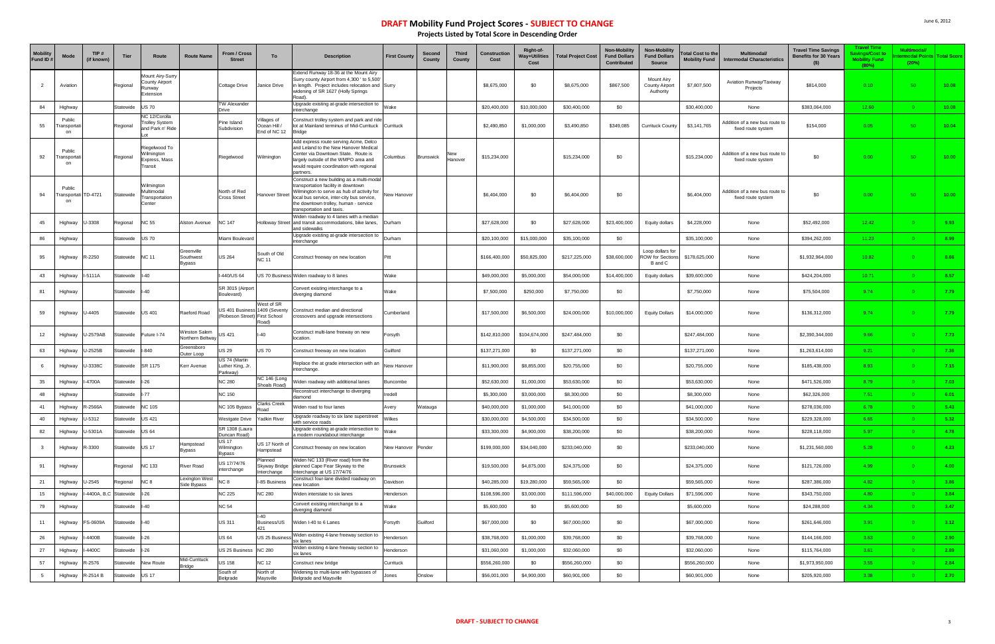| <b>Mobility</b><br>Fund ID: | Mode                                 | TIP#<br>(if known)         | <b>Tier</b>     | Route                                                                   | <b>Route Name</b>                 | From / Cross<br><b>Street</b>                   | To                                          | <b>Description</b>                                                                                                                                                                                                                                 | <b>First County</b> | Second<br>County | <b>Third</b><br>County | Construction<br>Cost | Right-of-<br><b>Way+Utilities</b><br>Cost | <b>Total Project Cost</b> | Non-Mobility<br><b>Fund Dollars</b><br>Contributed | Non-Mobility<br><b>Fund Dollars</b><br>Source          | otal Cost to the<br><b>Mobility Fund</b> | Multimodal/<br><b>Intermodal Characteristics</b>     | <b>Travel Time Savings</b><br><b>Benefits for 30 Years</b><br>$($ \$) | <b>Travel Time</b><br><b>iavings/Cost to</b><br><b>Mobility Fund</b><br>(80%) | <b>Multimodal</b><br><b>modal Points Total Score</b><br>(20%) |       |
|-----------------------------|--------------------------------------|----------------------------|-----------------|-------------------------------------------------------------------------|-----------------------------------|-------------------------------------------------|---------------------------------------------|----------------------------------------------------------------------------------------------------------------------------------------------------------------------------------------------------------------------------------------------------|---------------------|------------------|------------------------|----------------------|-------------------------------------------|---------------------------|----------------------------------------------------|--------------------------------------------------------|------------------------------------------|------------------------------------------------------|-----------------------------------------------------------------------|-------------------------------------------------------------------------------|---------------------------------------------------------------|-------|
| $\overline{2}$              | Aviation                             |                            | Regional        | <b>Jount Airy-Surry</b><br><b>County Airport</b><br>Runway<br>Extension |                                   | Cottage Drive                                   | Janice Drive                                | Extend Runway 18-36 at the Mount Airy<br>Surry county Airport from 4,300 ' to 5,500'<br>n length. Project includes relocation and Surry<br>widening of SR 1627 (Holly Springs<br>Road).                                                            |                     |                  |                        | \$8,675,000          | \$0                                       | \$8,675,000               | \$867,500                                          | Mount Airy<br><b>County Airport</b><br>Authority       | \$7,807,500                              | Aviation Runway/Taxiway<br>Projects                  | \$814,000                                                             | 0.10                                                                          | 50                                                            | 10.08 |
| 84                          | Highway                              |                            | Statewide       | <b>US 70</b>                                                            |                                   | TW Alexander<br><b>Drive</b>                    |                                             | Upgrade existing at-grade intersection to<br>interchange                                                                                                                                                                                           | Wake                |                  |                        | \$20,400,000         | \$10,000,000                              | \$30,400,000              | \$0                                                |                                                        | \$30,400,000                             | None                                                 | \$383,064,000                                                         | 12.60                                                                         | $\Omega$                                                      | 10.08 |
| 55                          | Public<br>Fransporta<br>on           |                            | Regional        | <b>VC 12/Corolla</b><br><b>Trolley System</b><br>and Park n' Ride       |                                   | Pine Island<br>Subdivision                      | /illages of<br>(Crean Hill<br>End of NC 12  | Construct trolley system and park and ride<br>lot at Mainland terminus of Mid-Currituck Currituck<br><b>Bridge</b>                                                                                                                                 |                     |                  |                        | \$2,490,850          | \$1,000,000                               | \$3,490,850               | \$349,085                                          | Currituck County                                       | \$3,141,765                              | Addition of a new bus route to<br>fixed route system | \$154,000                                                             | 0.05                                                                          | 50                                                            | 10.04 |
| 92                          | Public<br>ransporta<br>on            |                            | Regional        | Riegelwood To<br>Wilmington<br>Express, Mass<br>Transit                 |                                   | Riegelwood                                      | Vilmington                                  | Add express route serving Acme, Delco<br>and Leland to the New Hanover Medical<br>Center via Downtown State. Route is<br>largely outside of the WMPO area and<br>would require coordination with regional<br>partners.                             | Columbus            | Brunswick        | New<br>Hanover         | \$15,234,000         |                                           | \$15,234,000              | \$0                                                |                                                        | \$15,234,000                             | Addition of a new bus route to<br>fixed route system | \$0                                                                   | 0.00                                                                          | 50                                                            | 10.00 |
| 94                          | Public<br>Transportati TD-4721<br>on |                            | Statewide       | Wilmington<br>Multimodal<br>Transportation<br>Center                    |                                   | North of Red<br><b>Cross Street</b>             | Hanover Street                              | Construct a new building as a multi-modal<br>transportation facility in downtown<br>Wilmington to serve as hub of activity for<br>local bus service, inter-city bus service,<br>the downtown trolley, human - service<br>transportation and taxis. | New Hanover         |                  |                        | \$6,404,000          | \$0                                       | \$6,404,000               | \$0                                                |                                                        | \$6,404,000                              | Addition of a new bus route to<br>fixed route system | \$0                                                                   | 0.00                                                                          | 50                                                            | 10.00 |
| 45                          | Highway                              | U-3308                     | Regional        | <b>NC 55</b>                                                            | Alston Avenue                     | <b>NC 147</b>                                   |                                             | Niden roadway to 4 lanes with a median<br>Holloway Street and transit accommodations, bike lanes,<br>and sidewalks                                                                                                                                 | Durham              |                  |                        | \$27,628,000         | \$0                                       | \$27,628,000              | \$23,400,000                                       | Equity dollars                                         | \$4,228,000                              | None                                                 | \$52,492,000                                                          | 12.42                                                                         | $\Omega$                                                      | 9.93  |
| 86                          | Highway                              |                            | Statewide       | <b>US 70</b>                                                            |                                   | Miami Boulevard                                 |                                             | Upgrade existing at-grade intersection to<br>interchange                                                                                                                                                                                           | Durham              |                  |                        | \$20,100,000         | \$15,000,000                              | \$35,100,000              | \$0                                                |                                                        | \$35,100,000                             | None                                                 | \$394,262,000                                                         | 11.23                                                                         |                                                               | 8.99  |
| 95                          | Highway                              | R-2250                     | Statewide       | <b>NC 11</b>                                                            | Greenville<br>Southwest<br>Bypass | <b>US 264</b>                                   | South of Old<br><b>NC 11</b>                | Construct freeway on new location                                                                                                                                                                                                                  | Pitt                |                  |                        | \$166,400,000        | \$50,825,000                              | \$217,225,000             | \$38,600,000                                       | Loop dollars for<br><b>ROW</b> for Sections<br>B and C | \$178,625,000                            | None                                                 | \$1,932,964,000                                                       | 10.82                                                                         |                                                               | 8.66  |
| 43                          | Highway                              | -5111A                     | Statewide       | l-40                                                                    |                                   | 440/US 64                                       |                                             | JS 70 Business Widen roadway to 8 lanes                                                                                                                                                                                                            | Wake                |                  |                        | \$49,000,000         | \$5,000,000                               | \$54,000,000              | \$14,400,000                                       | Equity dollars                                         | \$39,600,000                             | None                                                 | \$424,204,000                                                         | 10.71                                                                         | $\Omega$                                                      | 8.57  |
| 81                          | Highway                              |                            | Statewide       | l-40                                                                    |                                   | SR 3015 (Airport<br>Boulevard)                  |                                             | Convert existing interchange to a<br>diverging diamond                                                                                                                                                                                             | Wake                |                  |                        | \$7,500,000          | \$250,000                                 | \$7,750,000               | \$0                                                |                                                        | \$7,750,000                              | None                                                 | \$75,504,000                                                          | 9.74                                                                          |                                                               | 7.79  |
| 59                          | Highway                              | J-4405                     | Statewide       | <b>US 401</b>                                                           | Raeford Road                      | JS 401 Business<br>Robeson Street) First School | <b>Nest of SR</b><br>1409 (Seventy<br>Road) | Construct median and directional<br>rossovers and upgrade intersections                                                                                                                                                                            | Cumberland          |                  |                        | \$17,500,000         | \$6,500,000                               | \$24,000,000              | \$10,000,000                                       | <b>Equity Dollars</b>                                  | \$14,000,000                             | None                                                 | \$136,312,000                                                         | 9.74                                                                          |                                                               | 7.79  |
| 12                          | Highway                              | U-2579AB                   | Statewide       | Future I-74                                                             | Ninston Salem<br>Northern Beltway | JS 421                                          | $-40$                                       | Construct multi-lane freeway on new<br>ocation.                                                                                                                                                                                                    | Forsyth             |                  |                        | \$142,810,000        | \$104,674,000                             | \$247,484,000             | \$0                                                |                                                        | \$247,484,000                            | None                                                 | \$2,390,344,000                                                       | 9.66                                                                          | 0.                                                            | 7.73  |
| 63                          | Highway                              | J-2525B                    | Statewide       | $-840$                                                                  | Greensboro<br>Outer Loop          | JS 29                                           | JS 70                                       | Construct freeway on new location                                                                                                                                                                                                                  | Guilford            |                  |                        | \$137,271,000        | \$0                                       | \$137,271,000             | \$0                                                |                                                        | \$137,271,000                            | None                                                 | \$1,263,614,000                                                       | 9.21                                                                          |                                                               | 7.36  |
| 6                           | Highway                              | J-3338C                    | Statewide       | SR 1175                                                                 | Kerr Avenue                       | US 74 (Martin<br>_uther King, Jr.<br>Parkway)   |                                             | Replace the at grade intersection with an<br>nterchange.                                                                                                                                                                                           | New Hanover         |                  |                        | \$11,900,000         | \$8,855,000                               | \$20,755,000              | \$0                                                |                                                        | \$20,755,000                             | None                                                 | \$185,438,000                                                         | 8.93                                                                          | $\Omega$                                                      | 7.15  |
| 35                          | Highway                              | -4700A                     | Statewide       | $I-26$                                                                  |                                   | <b>NC 280</b>                                   | NC 146 (Long<br>Shoals Road)                | Viden roadway with additional lanes                                                                                                                                                                                                                | Buncombe            |                  |                        | \$52,630,000         | \$1,000,000                               | \$53,630,000              | \$0                                                |                                                        | \$53,630,000                             | None                                                 | \$471,526,000                                                         | 8.79                                                                          |                                                               | 7.03  |
| 48                          | Highway                              |                            | Statewide       | -77                                                                     |                                   | <b>NC 150</b>                                   |                                             | Reconstruct interchange to diverging<br>diamond                                                                                                                                                                                                    | Iredell             |                  |                        | \$5,300,000          | \$3,000,000                               | \$8,300,000               | \$0                                                |                                                        | \$8,300,000                              | None                                                 | \$62,326,000                                                          | 7.51                                                                          |                                                               | 6.01  |
| 41                          | Highway                              | R-2566A                    | Statewide       | <b>NC 105</b>                                                           |                                   | NC 105 Bypass                                   | <b>Clarks Creek</b><br>Road                 | iden road to four lanes                                                                                                                                                                                                                            | Avery               | Vatauga          |                        | \$40,000,000         | \$1,000,000                               | \$41,000,000              | \$0                                                |                                                        | \$41,000,000                             | None                                                 | \$278,036,000                                                         | 6.78                                                                          |                                                               | 5.43  |
| 40                          | Highway                              | U-5312                     | Statewide       | <b>US 421</b>                                                           |                                   | Nestgate Drive                                  | Yadkin River                                | Upgrade roadway to six lane superstreet<br>with service roads                                                                                                                                                                                      | Wilkes              |                  |                        | \$30,000,000         | \$4,500,000                               | \$34,500,000              | \$0                                                |                                                        | \$34,500,000                             | None                                                 | \$229,328,000                                                         | 6.65                                                                          | $\Omega$                                                      | 5.32  |
| 82                          | Highway                              | J-5301A                    | Statewide       | <b>US 64</b>                                                            |                                   | SR 1308 (Laura<br>Duncan Road)                  |                                             | Upgrade existing at-grade intersection to<br>a modern roundabout interchange                                                                                                                                                                       | Wake                |                  |                        | \$33,300,000         | \$4,900,000                               | \$38,200,000              | \$0                                                |                                                        | \$38,200,000                             | None                                                 | \$228,118,000                                                         | 5.97                                                                          | $\overline{0}$                                                | 4.78  |
| $\mathbf{3}$                | Highway                              | R-3300                     | Statewide US 17 |                                                                         | Hampstead<br>Bypass               | <b>US 17</b><br>Wilmington<br><b>Bypass</b>     | JS 17 North of<br>Hampstead                 | Construct freeway on new location                                                                                                                                                                                                                  | New Hanover Pender  |                  |                        | \$199,000,000        | \$34,040,000                              | \$233,040,000             | \$0                                                |                                                        | \$233,040,000                            | None                                                 | \$1,231,560,000                                                       | 5.28                                                                          | $\Omega$                                                      | 4.23  |
| 91                          | Highway                              |                            | Regional        | <b>NC 133</b>                                                           | <b>River Road</b>                 | US 17/74/76<br>nterchange                       | Planned<br>nterchange                       | Widen NC 133 (River road) from the<br>Skyway Bridge   planned Cape Fear Skyway to the<br>nterchange at US 17/74/76                                                                                                                                 | <b>Brunswick</b>    |                  |                        | \$19,500,000         | \$4,875,000                               | \$24,375,000              | \$0                                                |                                                        | \$24,375,000                             | None                                                 | \$121,726,000                                                         | 4.99                                                                          | $\overline{0}$                                                | 4.00  |
| 21                          | Highway                              | U-2545                     | Regional        | NC <sub>8</sub>                                                         | Lexington West<br>Side Bypass     | NC <sub>8</sub>                                 | -85 Business                                | Construct four-lane divided roadway on<br>ew location                                                                                                                                                                                              | Davidson            |                  |                        | \$40,285,000         | \$19,280,000                              | \$59,565,000              | \$0                                                |                                                        | \$59,565,000                             | None                                                 | \$287,386,000                                                         | 4.82                                                                          |                                                               | 3.86  |
| 15                          | Highway                              | -4400A, B,C Statewide I-26 |                 |                                                                         |                                   | <b>NC 225</b>                                   | <b>VC 280</b>                               | <b>Niden interstate to six lanes</b>                                                                                                                                                                                                               | Henderson           |                  |                        | \$108,596,000        | \$3,000,000                               | \$111,596,000             | \$40,000,000                                       | <b>Equity Dollars</b>                                  | \$71,596,000                             | None                                                 | \$343,750,000                                                         | 4.80                                                                          | $\Omega$                                                      | 3.84  |
| 79                          | Highway                              |                            | Statewide       | $I-40$                                                                  |                                   | <b>NC 54</b>                                    |                                             | Convert existing interchange to a<br>diverging diamond                                                                                                                                                                                             | Wake                |                  |                        | \$5,600,000          | \$0                                       | \$5,600,000               | \$0                                                |                                                        | \$5,600,000                              | None                                                 | \$24,288,000                                                          | 4.34                                                                          | $\Omega$                                                      | 3.47  |
| 11                          | Highway                              | FS-0609A                   | Statewide       | $II-40$                                                                 |                                   | US 311                                          | $-40$<br>Business/US<br>421                 | Widen I-40 to 6 Lanes                                                                                                                                                                                                                              | Forsyth             | Guilford         |                        | \$67,000,000         | \$0                                       | \$67,000,000              | \$0                                                |                                                        | \$67,000,000                             | None                                                 | \$261,646,000                                                         | 3.91                                                                          | $\Omega$                                                      | 3.12  |
| 26                          | Highway                              | -4400B                     | Statewide I-26  |                                                                         |                                   | US 64                                           | US 25 Busines                               | Widen existing 4-lane freeway section to<br>six lanes                                                                                                                                                                                              | Henderson           |                  |                        | \$38,768,000         | \$1,000,000                               | \$39,768,000              | \$0                                                |                                                        | \$39,768,000                             | None                                                 | \$144,166,000                                                         | 3.63                                                                          | $\Omega$                                                      | 2.90  |
| 27                          | Highway                              | -4400C                     | Statewide       | $I-26$                                                                  |                                   | JS 25 Business NC 280                           |                                             | Widen existing 4-lane freeway section to<br>six lanes                                                                                                                                                                                              | Henderson           |                  |                        | \$31,060,000         | \$1,000,000                               | \$32,060,000              | \$0                                                |                                                        | \$32,060,000                             | None                                                 | \$115,764,000                                                         | 3.61                                                                          | $\Omega$                                                      | 2.89  |
| 57                          | Highway                              | $3-2576$                   | Statewide       | New Route                                                               | Mid-Currituck<br><b>Bridge</b>    | JS 158                                          | <b>VC 12</b>                                | Construct new bridge                                                                                                                                                                                                                               | Currituck           |                  |                        | \$556,260,000        | \$0                                       | \$556,260,000             | \$0                                                |                                                        | \$556,260,000                            | None                                                 | \$1,973,950,000                                                       | 3.55                                                                          | $\Omega$                                                      | 2.84  |
| 5                           | Highway                              | R-2514 B                   | Statewide       | <b>US 17</b>                                                            |                                   | South of<br>Belgrade                            | North of<br>Maysville                       | Widening to multi-lane with bypasses of<br>Belgrade and Maysville                                                                                                                                                                                  | Jones               | Onslow           |                        | \$56,001,000         | \$4,900,000                               | \$60,901,000              | \$0                                                |                                                        | \$60,901,000                             | None                                                 | \$205,920,000                                                         | 3.38                                                                          | 0                                                             | 2.70  |